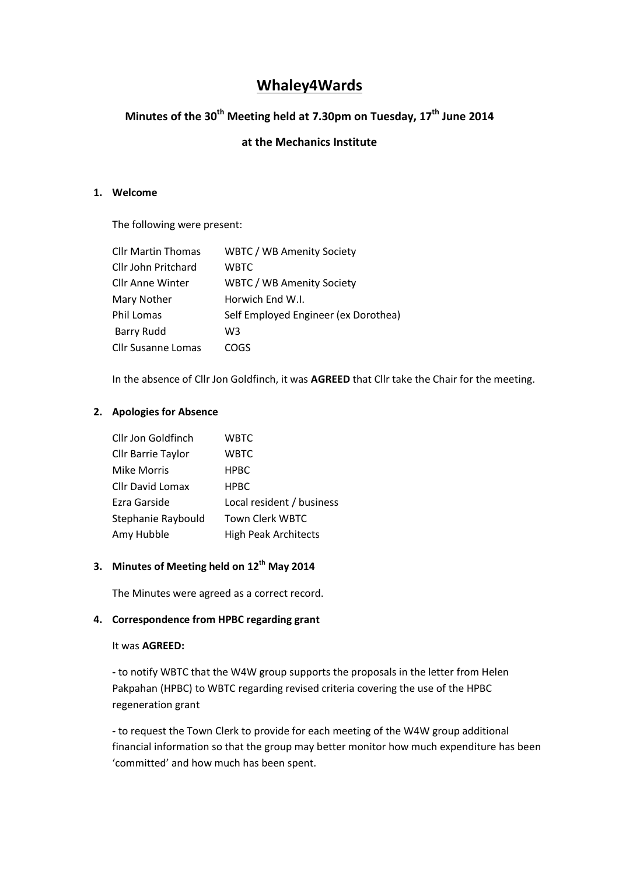# **Whaley4Wards**

# **Minutes of the 30th Meeting held at 7.30pm on Tuesday, 17th June 2014**

## **at the Mechanics Institute**

#### **1. Welcome**

The following were present:

| <b>Cllr Martin Thomas</b> | <b>WBTC / WB Amenity Society</b>     |
|---------------------------|--------------------------------------|
| Cllr John Pritchard       | <b>WBTC</b>                          |
| <b>Cllr Anne Winter</b>   | <b>WBTC / WB Amenity Society</b>     |
| Mary Nother               | Horwich End W.I.                     |
| Phil Lomas                | Self Employed Engineer (ex Dorothea) |
| <b>Barry Rudd</b>         | W3                                   |
| <b>Cllr Susanne Lomas</b> | cogs                                 |

In the absence of Cllr Jon Goldfinch, it was **AGREED** that Cllr take the Chair for the meeting.

#### **2. Apologies for Absence**

| Cllr Jon Goldfinch        | WBTC                        |
|---------------------------|-----------------------------|
| <b>Cllr Barrie Taylor</b> | WBTC                        |
| Mike Morris               | <b>HPBC</b>                 |
| <b>Cllr David Lomax</b>   | <b>HPBC</b>                 |
| Ezra Garside              | Local resident / business   |
| Stephanie Raybould        | Town Clerk WBTC             |
| Amy Hubble                | <b>High Peak Architects</b> |

## **3. Minutes of Meeting held on 12th May 2014**

The Minutes were agreed as a correct record.

#### **4. Correspondence from HPBC regarding grant**

#### It was **AGREED:**

**-** to notify WBTC that the W4W group supports the proposals in the letter from Helen Pakpahan (HPBC) to WBTC regarding revised criteria covering the use of the HPBC regeneration grant

**-** to request the Town Clerk to provide for each meeting of the W4W group additional financial information so that the group may better monitor how much expenditure has been 'committed' and how much has been spent.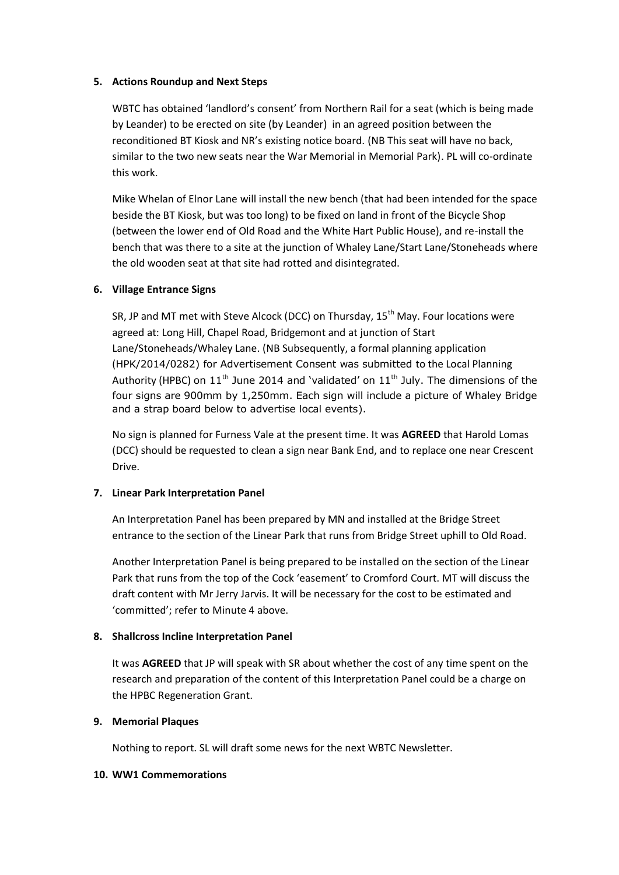#### **5. Actions Roundup and Next Steps**

WBTC has obtained 'landlord's consent' from Northern Rail for a seat (which is being made by Leander) to be erected on site (by Leander) in an agreed position between the reconditioned BT Kiosk and NR's existing notice board. (NB This seat will have no back, similar to the two new seats near the War Memorial in Memorial Park). PL will co-ordinate this work.

Mike Whelan of Elnor Lane will install the new bench (that had been intended for the space beside the BT Kiosk, but was too long) to be fixed on land in front of the Bicycle Shop (between the lower end of Old Road and the White Hart Public House), and re-install the bench that was there to a site at the junction of Whaley Lane/Start Lane/Stoneheads where the old wooden seat at that site had rotted and disintegrated.

## **6. Village Entrance Signs**

SR, JP and MT met with Steve Alcock (DCC) on Thursday, 15<sup>th</sup> May. Four locations were agreed at: Long Hill, Chapel Road, Bridgemont and at junction of Start Lane/Stoneheads/Whaley Lane. (NB Subsequently, a formal planning application (HPK/2014/0282) for Advertisement Consent was submitted to the Local Planning Authority (HPBC) on  $11<sup>th</sup>$  June 2014 and 'validated' on  $11<sup>th</sup>$  July. The dimensions of the four signs are 900mm by 1,250mm. Each sign will include a picture of Whaley Bridge and a strap board below to advertise local events).

No sign is planned for Furness Vale at the present time. It was **AGREED** that Harold Lomas (DCC) should be requested to clean a sign near Bank End, and to replace one near Crescent Drive.

## **7. Linear Park Interpretation Panel**

An Interpretation Panel has been prepared by MN and installed at the Bridge Street entrance to the section of the Linear Park that runs from Bridge Street uphill to Old Road.

Another Interpretation Panel is being prepared to be installed on the section of the Linear Park that runs from the top of the Cock 'easement' to Cromford Court. MT will discuss the draft content with Mr Jerry Jarvis. It will be necessary for the cost to be estimated and 'committed'; refer to Minute 4 above.

## **8. Shallcross Incline Interpretation Panel**

It was **AGREED** that JP will speak with SR about whether the cost of any time spent on the research and preparation of the content of this Interpretation Panel could be a charge on the HPBC Regeneration Grant.

## **9. Memorial Plaques**

Nothing to report. SL will draft some news for the next WBTC Newsletter.

#### **10. WW1 Commemorations**